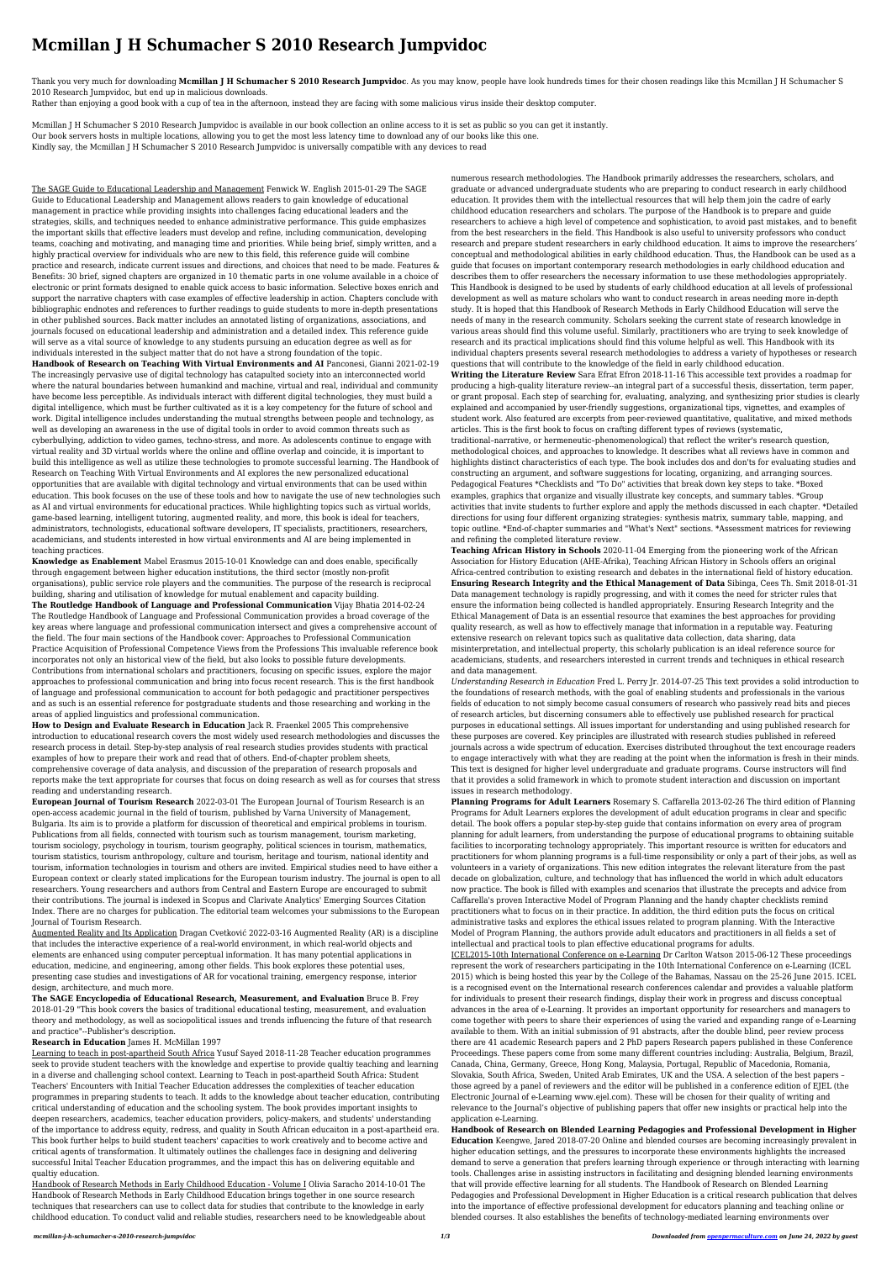## **Mcmillan J H Schumacher S 2010 Research Jumpvidoc**

Thank you very much for downloading **Mcmillan J H Schumacher S 2010 Research Jumpvidoc**. As you may know, people have look hundreds times for their chosen readings like this Mcmillan J H Schumacher S 2010 Research Jumpvidoc, but end up in malicious downloads.

Rather than enjoying a good book with a cup of tea in the afternoon, instead they are facing with some malicious virus inside their desktop computer.

Mcmillan J H Schumacher S 2010 Research Jumpvidoc is available in our book collection an online access to it is set as public so you can get it instantly. Our book servers hosts in multiple locations, allowing you to get the most less latency time to download any of our books like this one. Kindly say, the Mcmillan J H Schumacher S 2010 Research Jumpvidoc is universally compatible with any devices to read

The SAGE Guide to Educational Leadership and Management Fenwick W. English 2015-01-29 The SAGE Guide to Educational Leadership and Management allows readers to gain knowledge of educational management in practice while providing insights into challenges facing educational leaders and the strategies, skills, and techniques needed to enhance administrative performance. This guide emphasizes the important skills that effective leaders must develop and refine, including communication, developing teams, coaching and motivating, and managing time and priorities. While being brief, simply written, and a highly practical overview for individuals who are new to this field, this reference guide will combine practice and research, indicate current issues and directions, and choices that need to be made. Features & Benefits: 30 brief, signed chapters are organized in 10 thematic parts in one volume available in a choice of electronic or print formats designed to enable quick access to basic information. Selective boxes enrich and support the narrative chapters with case examples of effective leadership in action. Chapters conclude with bibliographic endnotes and references to further readings to guide students to more in-depth presentations in other published sources. Back matter includes an annotated listing of organizations, associations, and journals focused on educational leadership and administration and a detailed index. This reference guide will serve as a vital source of knowledge to any students pursuing an education degree as well as for individuals interested in the subject matter that do not have a strong foundation of the topic. **Handbook of Research on Teaching With Virtual Environments and AI** Panconesi, Gianni 2021-02-19 The increasingly pervasive use of digital technology has catapulted society into an interconnected world where the natural boundaries between humankind and machine, virtual and real, individual and community have become less perceptible. As individuals interact with different digital technologies, they must build a digital intelligence, which must be further cultivated as it is a key competency for the future of school and work. Digital intelligence includes understanding the mutual strengths between people and technology, as well as developing an awareness in the use of digital tools in order to avoid common threats such as cyberbullying, addiction to video games, techno-stress, and more. As adolescents continue to engage with virtual reality and 3D virtual worlds where the online and offline overlap and coincide, it is important to build this intelligence as well as utilize these technologies to promote successful learning. The Handbook of Research on Teaching With Virtual Environments and AI explores the new personalized educational opportunities that are available with digital technology and virtual environments that can be used within education. This book focuses on the use of these tools and how to navigate the use of new technologies such as AI and virtual environments for educational practices. While highlighting topics such as virtual worlds, game-based learning, intelligent tutoring, augmented reality, and more, this book is ideal for teachers, administrators, technologists, educational software developers, IT specialists, practitioners, researchers, academicians, and students interested in how virtual environments and AI are being implemented in teaching practices.

**Knowledge as Enablement** Mabel Erasmus 2015-10-01 Knowledge can and does enable, specifically through engagement between higher education institutions, the third sector (mostly non-profit organisations), public service role players and the communities. The purpose of the research is reciprocal building, sharing and utilisation of knowledge for mutual enablement and capacity building. **The Routledge Handbook of Language and Professional Communication** Vijay Bhatia 2014-02-24 The Routledge Handbook of Language and Professional Communication provides a broad coverage of the key areas where language and professional communication intersect and gives a comprehensive account of the field. The four main sections of the Handbook cover: Approaches to Professional Communication Practice Acquisition of Professional Competence Views from the Professions This invaluable reference book incorporates not only an historical view of the field, but also looks to possible future developments. Contributions from international scholars and practitioners, focusing on specific issues, explore the major approaches to professional communication and bring into focus recent research. This is the first handbook of language and professional communication to account for both pedagogic and practitioner perspectives and as such is an essential reference for postgraduate students and those researching and working in the areas of applied linguistics and professional communication. **How to Design and Evaluate Research in Education** Jack R. Fraenkel 2005 This comprehensive introduction to educational research covers the most widely used research methodologies and discusses the research process in detail. Step-by-step analysis of real research studies provides students with practical examples of how to prepare their work and read that of others. End-of-chapter problem sheets, comprehensive coverage of data analysis, and discussion of the preparation of research proposals and reports make the text appropriate for courses that focus on doing research as well as for courses that stress reading and understanding research. **European Journal of Tourism Research** 2022-03-01 The European Journal of Tourism Research is an open-access academic journal in the field of tourism, published by Varna University of Management, Bulgaria. Its aim is to provide a platform for discussion of theoretical and empirical problems in tourism. Publications from all fields, connected with tourism such as tourism management, tourism marketing, tourism sociology, psychology in tourism, tourism geography, political sciences in tourism, mathematics, tourism statistics, tourism anthropology, culture and tourism, heritage and tourism, national identity and tourism, information technologies in tourism and others are invited. Empirical studies need to have either a European context or clearly stated implications for the European tourism industry. The journal is open to all researchers. Young researchers and authors from Central and Eastern Europe are encouraged to submit their contributions. The journal is indexed in Scopus and Clarivate Analytics' Emerging Sources Citation Index. There are no charges for publication. The editorial team welcomes your submissions to the European Journal of Tourism Research. Augmented Reality and Its Application Dragan Cvetković 2022-03-16 Augmented Reality (AR) is a discipline that includes the interactive experience of a real-world environment, in which real-world objects and elements are enhanced using computer perceptual information. It has many potential applications in education, medicine, and engineering, among other fields. This book explores these potential uses, presenting case studies and investigations of AR for vocational training, emergency response, interior design, architecture, and much more.

**The SAGE Encyclopedia of Educational Research, Measurement, and Evaluation** Bruce B. Frey 2018-01-29 "This book covers the basics of traditional educational testing, measurement, and evaluation theory and methodology, as well as sociopolitical issues and trends influencing the future of that research and practice"--Publisher's description.

## **Research in Education** James H. McMillan 1997

Learning to teach in post-apartheid South Africa Yusuf Sayed 2018-11-28 Teacher education programmes seek to provide student teachers with the knowledge and expertise to provide qualtiy teaching and learning in a diverse and challenging school context. Learning to Teach in post-apartheid South Africa: Student Teachers' Encounters with Initial Teacher Education addresses the complexities of teacher education programmes in preparing students to teach. It adds to the knowledge about teacher education, contributing critical understanding of education and the schooling system. The book provides important insights to deepen researchers, academics, teacher education providers, policy-makers, and students' understanding of the importance to address equity, redress, and quality in South African educaiton in a post-apartheid era. This book further helps to build student teachers' capacities to work creatively and to become active and critical agents of transformation. It ultimately outlines the challenges face in designing and delivering successful Inital Teacher Education programmes, and the impact this has on delivering equitable and qualtiy education.

Handbook of Research Methods in Early Childhood Education - Volume I Olivia Saracho 2014-10-01 The Handbook of Research Methods in Early Childhood Education brings together in one source research techniques that researchers can use to collect data for studies that contribute to the knowledge in early childhood education. To conduct valid and reliable studies, researchers need to be knowledgeable about

numerous research methodologies. The Handbook primarily addresses the researchers, scholars, and graduate or advanced undergraduate students who are preparing to conduct research in early childhood education. It provides them with the intellectual resources that will help them join the cadre of early childhood education researchers and scholars. The purpose of the Handbook is to prepare and guide researchers to achieve a high level of competence and sophistication, to avoid past mistakes, and to benefit from the best researchers in the field. This Handbook is also useful to university professors who conduct research and prepare student researchers in early childhood education. It aims to improve the researchers' conceptual and methodological abilities in early childhood education. Thus, the Handbook can be used as a guide that focuses on important contemporary research methodologies in early childhood education and describes them to offer researchers the necessary information to use these methodologies appropriately. This Handbook is designed to be used by students of early childhood education at all levels of professional development as well as mature scholars who want to conduct research in areas needing more in-depth study. It is hoped that this Handbook of Research Methods in Early Childhood Education will serve the needs of many in the research community. Scholars seeking the current state of research knowledge in various areas should find this volume useful. Similarly, practitioners who are trying to seek knowledge of research and its practical implications should find this volume helpful as well. This Handbook with its individual chapters presents several research methodologies to address a variety of hypotheses or research questions that will contribute to the knowledge of the field in early childhood education.

**Writing the Literature Review** Sara Efrat Efron 2018-11-16 This accessible text provides a roadmap for producing a high-quality literature review--an integral part of a successful thesis, dissertation, term paper, or grant proposal. Each step of searching for, evaluating, analyzing, and synthesizing prior studies is clearly explained and accompanied by user-friendly suggestions, organizational tips, vignettes, and examples of student work. Also featured are excerpts from peer-reviewed quantitative, qualitative, and mixed methods articles. This is the first book to focus on crafting different types of reviews (systematic,

traditional–narrative, or hermeneutic–phenomenological) that reflect the writer's research question, methodological choices, and approaches to knowledge. It describes what all reviews have in common and highlights distinct characteristics of each type. The book includes dos and don'ts for evaluating studies and constructing an argument, and software suggestions for locating, organizing, and arranging sources. Pedagogical Features \*Checklists and "To Do" activities that break down key steps to take. \*Boxed examples, graphics that organize and visually illustrate key concepts, and summary tables. \*Group activities that invite students to further explore and apply the methods discussed in each chapter. \*Detailed directions for using four different organizing strategies: synthesis matrix, summary table, mapping, and topic outline. \*End-of-chapter summaries and "What's Next" sections. \*Assessment matrices for reviewing and refining the completed literature review.

**Teaching African History in Schools** 2020-11-04 Emerging from the pioneering work of the African Association for History Education (AHE-Afrika), Teaching African History in Schools offers an original Africa-centred contribution to existing research and debates in the international field of history education. **Ensuring Research Integrity and the Ethical Management of Data** Sibinga, Cees Th. Smit 2018-01-31 Data management technology is rapidly progressing, and with it comes the need for stricter rules that ensure the information being collected is handled appropriately. Ensuring Research Integrity and the Ethical Management of Data is an essential resource that examines the best approaches for providing quality research, as well as how to effectively manage that information in a reputable way. Featuring extensive research on relevant topics such as qualitative data collection, data sharing, data misinterpretation, and intellectual property, this scholarly publication is an ideal reference source for academicians, students, and researchers interested in current trends and techniques in ethical research and data management. *Understanding Research in Education* Fred L. Perry Jr. 2014-07-25 This text provides a solid introduction to the foundations of research methods, with the goal of enabling students and professionals in the various fields of education to not simply become casual consumers of research who passively read bits and pieces of research articles, but discerning consumers able to effectively use published research for practical purposes in educational settings. All issues important for understanding and using published research for these purposes are covered. Key principles are illustrated with research studies published in refereed journals across a wide spectrum of education. Exercises distributed throughout the text encourage readers to engage interactively with what they are reading at the point when the information is fresh in their minds. This text is designed for higher level undergraduate and graduate programs. Course instructors will find that it provides a solid framework in which to promote student interaction and discussion on important issues in research methodology. **Planning Programs for Adult Learners** Rosemary S. Caffarella 2013-02-26 The third edition of Planning Programs for Adult Learners explores the development of adult education programs in clear and specific detail. The book offers a popular step-by-step guide that contains information on every area of program planning for adult learners, from understanding the purpose of educational programs to obtaining suitable facilities to incorporating technology appropriately. This important resource is written for educators and practitioners for whom planning programs is a full-time responsibility or only a part of their jobs, as well as volunteers in a variety of organizations. This new edition integrates the relevant literature from the past decade on globalization, culture, and technology that has influenced the world in which adult educators now practice. The book is filled with examples and scenarios that illustrate the precepts and advice from Caffarella's proven Interactive Model of Program Planning and the handy chapter checklists remind practitioners what to focus on in their practice. In addition, the third edition puts the focus on critical administrative tasks and explores the ethical issues related to program planning. With the Interactive Model of Program Planning, the authors provide adult educators and practitioners in all fields a set of intellectual and practical tools to plan effective educational programs for adults. ICEL2015-10th International Conference on e-Learning Dr Carlton Watson 2015-06-12 These proceedings represent the work of researchers participating in the 10th International Conference on e-Learning (ICEL 2015) which is being hosted this year by the College of the Bahamas, Nassau on the 25-26 June 2015. ICEL is a recognised event on the International research conferences calendar and provides a valuable platform for individuals to present their research findings, display their work in progress and discuss conceptual advances in the area of e-Learning. It provides an important opportunity for researchers and managers to come together with peers to share their experiences of using the varied and expanding range of e-Learning available to them. With an initial submission of 91 abstracts, after the double blind, peer review process there are 41 academic Research papers and 2 PhD papers Research papers published in these Conference Proceedings. These papers come from some many different countries including: Australia, Belgium, Brazil, Canada, China, Germany, Greece, Hong Kong, Malaysia, Portugal, Republic of Macedonia, Romania, Slovakia, South Africa, Sweden, United Arab Emirates, UK and the USA. A selection of the best papers – those agreed by a panel of reviewers and the editor will be published in a conference edition of EJEL (the Electronic Journal of e-Learning www.ejel.com). These will be chosen for their quality of writing and relevance to the Journal's objective of publishing papers that offer new insights or practical help into the application e-Learning. **Handbook of Research on Blended Learning Pedagogies and Professional Development in Higher Education** Keengwe, Jared 2018-07-20 Online and blended courses are becoming increasingly prevalent in higher education settings, and the pressures to incorporate these environments highlights the increased demand to serve a generation that prefers learning through experience or through interacting with learning tools. Challenges arise in assisting instructors in facilitating and designing blended learning environments that will provide effective learning for all students. The Handbook of Research on Blended Learning Pedagogies and Professional Development in Higher Education is a critical research publication that delves into the importance of effective professional development for educators planning and teaching online or blended courses. It also establishes the benefits of technology-mediated learning environments over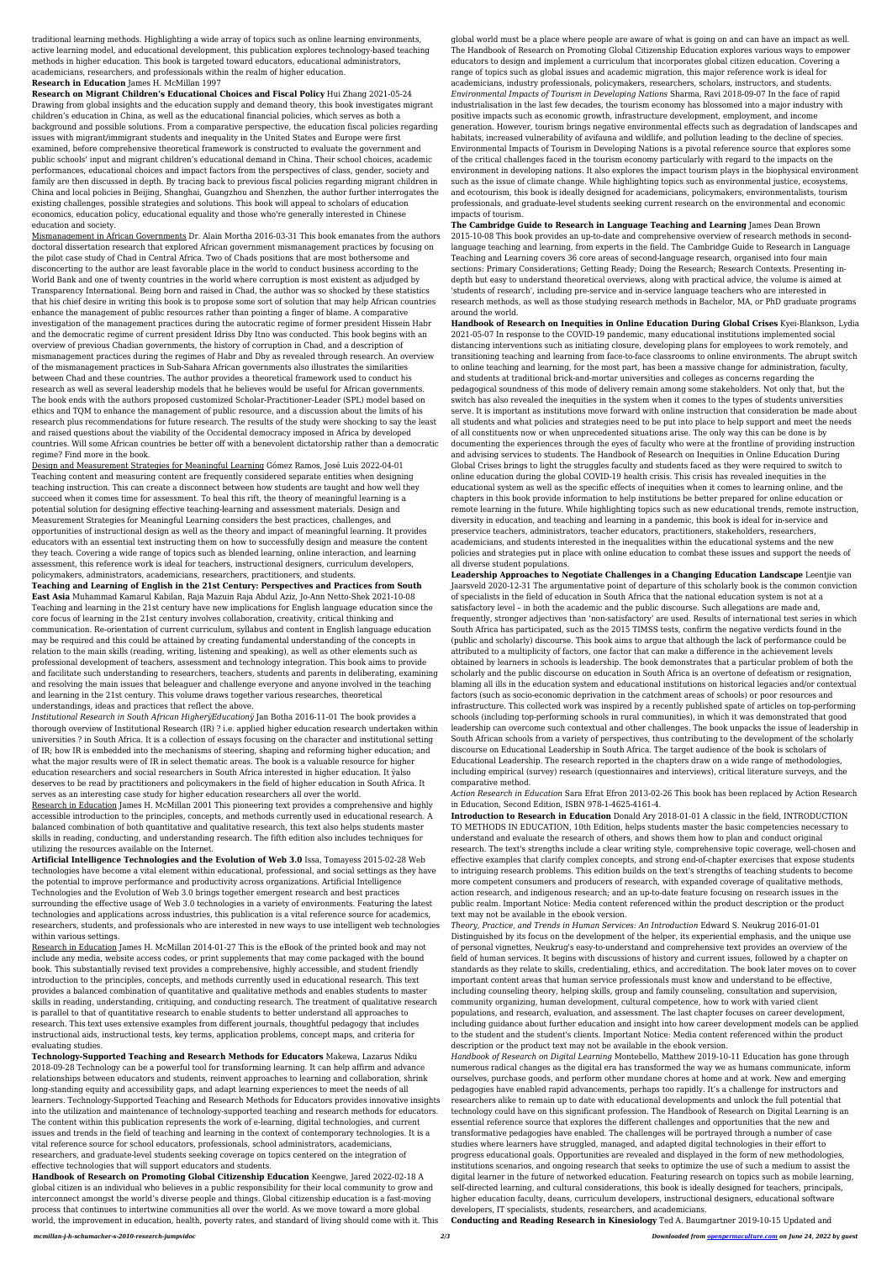traditional learning methods. Highlighting a wide array of topics such as online learning environments, active learning model, and educational development, this publication explores technology-based teaching methods in higher education. This book is targeted toward educators, educational administrators, academicians, researchers, and professionals within the realm of higher education. **Research in Education** James H. McMillan 1997

## **Research on Migrant Children's Educational Choices and Fiscal Policy** Hui Zhang 2021-05-24

Drawing from global insights and the education supply and demand theory, this book investigates migrant children's education in China, as well as the educational financial policies, which serves as both a background and possible solutions. From a comparative perspective, the education fiscal policies regarding issues with migrant/immigrant students and inequality in the United States and Europe were first examined, before comprehensive theoretical framework is constructed to evaluate the government and public schools' input and migrant children's educational demand in China. Their school choices, academic performances, educational choices and impact factors from the perspectives of class, gender, society and family are then discussed in depth. By tracing back to previous fiscal policies regarding migrant children in China and local policies in Beijing, Shanghai, Guangzhou and Shenzhen, the author further interrogates the existing challenges, possible strategies and solutions. This book will appeal to scholars of education economics, education policy, educational equality and those who're generally interested in Chinese education and society.

Mismanagement in African Governments Dr. Alain Mortha 2016-03-31 This book emanates from the authors doctoral dissertation research that explored African government mismanagement practices by focusing on the pilot case study of Chad in Central Africa. Two of Chads positions that are most bothersome and disconcerting to the author are least favorable place in the world to conduct business according to the World Bank and one of twenty countries in the world where corruption is most existent as adjudged by Transparency International. Being born and raised in Chad, the author was so shocked by these statistics that his chief desire in writing this book is to propose some sort of solution that may help African countries enhance the management of public resources rather than pointing a finger of blame. A comparative investigation of the management practices during the autocratic regime of former president Hissein Habr and the democratic regime of current president Idriss Dby Itno was conducted. This book begins with an overview of previous Chadian governments, the history of corruption in Chad, and a description of mismanagement practices during the regimes of Habr and Dby as revealed through research. An overview of the mismanagement practices in Sub-Sahara African governments also illustrates the similarities between Chad and these countries. The author provides a theoretical framework used to conduct his research as well as several leadership models that he believes would be useful for African governments. The book ends with the authors proposed customized Scholar-Practitioner-Leader (SPL) model based on ethics and TQM to enhance the management of public resource, and a discussion about the limits of his research plus recommendations for future research. The results of the study were shocking to say the least and raised questions about the viability of the Occidental democracy imposed in Africa by developed countries. Will some African countries be better off with a benevolent dictatorship rather than a democratic regime? Find more in the book.

Design and Measurement Strategies for Meaningful Learning Gómez Ramos, José Luis 2022-04-01 Teaching content and measuring content are frequently considered separate entities when designing teaching instruction. This can create a disconnect between how students are taught and how well they succeed when it comes time for assessment. To heal this rift, the theory of meaningful learning is a potential solution for designing effective teaching-learning and assessment materials. Design and Measurement Strategies for Meaningful Learning considers the best practices, challenges, and opportunities of instructional design as well as the theory and impact of meaningful learning. It provides educators with an essential text instructing them on how to successfully design and measure the content they teach. Covering a wide range of topics such as blended learning, online interaction, and learning assessment, this reference work is ideal for teachers, instructional designers, curriculum developers, policymakers, administrators, academicians, researchers, practitioners, and students.

**Teaching and Learning of English in the 21st Century: Perspectives and Practices from South East Asia** Muhammad Kamarul Kabilan, Raja Mazuin Raja Abdul Aziz, Jo-Ann Netto-Shek 2021-10-08 Teaching and learning in the 21st century have new implications for English language education since the core focus of learning in the 21st century involves collaboration, creativity, critical thinking and communication. Re-orientation of current curriculum, syllabus and content in English language education may be required and this could be attained by creating fundamental understanding of the concepts in relation to the main skills (reading, writing, listening and speaking), as well as other elements such as professional development of teachers, assessment and technology integration. This book aims to provide and facilitate such understanding to researchers, teachers, students and parents in deliberating, examining and resolving the main issues that beleaguer and challenge everyone and anyone involved in the teaching and learning in the 21st century. This volume draws together various researches, theoretical understandings, ideas and practices that reflect the above. *Institutional Research in South African HigherÿEducationÿ* Jan Botha 2016-11-01 The book provides a thorough overview of Institutional Research (IR) ? i.e. applied higher education research undertaken within universities ? in South Africa. It is a collection of essays focusing on the character and institutional setting of IR; how IR is embedded into the mechanisms of steering, shaping and reforming higher education; and what the major results were of IR in select thematic areas. The book is a valuable resource for higher education researchers and social researchers in South Africa interested in higher education. It ÿalso deserves to be read by practitioners and policymakers in the field of higher education in South Africa. It serves as an interesting case study for higher education researchers all over the world. Research in Education James H. McMillan 2001 This pioneering text provides a comprehensive and highly accessible introduction to the principles, concepts, and methods currently used in educational research. A balanced combination of both quantitative and qualitative research, this text also helps students master skills in reading, conducting, and understanding research. The fifth edition also includes techniques for utilizing the resources available on the Internet. **Artificial Intelligence Technologies and the Evolution of Web 3.0** Issa, Tomayess 2015-02-28 Web technologies have become a vital element within educational, professional, and social settings as they have the potential to improve performance and productivity across organizations. Artificial Intelligence Technologies and the Evolution of Web 3.0 brings together emergent research and best practices surrounding the effective usage of Web 3.0 technologies in a variety of environments. Featuring the latest technologies and applications across industries, this publication is a vital reference source for academics, researchers, students, and professionals who are interested in new ways to use intelligent web technologies within various settings. Research in Education James H. McMillan 2014-01-27 This is the eBook of the printed book and may not include any media, website access codes, or print supplements that may come packaged with the bound book. This substantially revised text provides a comprehensive, highly accessible, and student friendly introduction to the principles, concepts, and methods currently used in educational research. This text provides a balanced combination of quantitative and qualitative methods and enables students to master skills in reading, understanding, critiquing, and conducting research. The treatment of qualitative research is parallel to that of quantitative research to enable students to better understand all approaches to research. This text uses extensive examples from different journals, thoughtful pedagogy that includes instructional aids, instructional tests, key terms, application problems, concept maps, and criteria for evaluating studies. **Technology-Supported Teaching and Research Methods for Educators** Makewa, Lazarus Ndiku 2018-09-28 Technology can be a powerful tool for transforming learning. It can help affirm and advance relationships between educators and students, reinvent approaches to learning and collaboration, shrink long-standing equity and accessibility gaps, and adapt learning experiences to meet the needs of all learners. Technology-Supported Teaching and Research Methods for Educators provides innovative insights into the utilization and maintenance of technology-supported teaching and research methods for educators. The content within this publication represents the work of e-learning, digital technologies, and current issues and trends in the field of teaching and learning in the context of contemporary technologies. It is a vital reference source for school educators, professionals, school administrators, academicians, researchers, and graduate-level students seeking coverage on topics centered on the integration of effective technologies that will support educators and students. **Handbook of Research on Promoting Global Citizenship Education** Keengwe, Jared 2022-02-18 A global citizen is an individual who believes in a public responsibility for their local community to grow and interconnect amongst the world's diverse people and things. Global citizenship education is a fast-moving process that continues to intertwine communities all over the world. As we move toward a more global world, the improvement in education, health, poverty rates, and standard of living should come with it. This

global world must be a place where people are aware of what is going on and can have an impact as well. The Handbook of Research on Promoting Global Citizenship Education explores various ways to empower educators to design and implement a curriculum that incorporates global citizen education. Covering a range of topics such as global issues and academic migration, this major reference work is ideal for academicians, industry professionals, policymakers, researchers, scholars, instructors, and students. *Environmental Impacts of Tourism in Developing Nations* Sharma, Ravi 2018-09-07 In the face of rapid industrialisation in the last few decades, the tourism economy has blossomed into a major industry with positive impacts such as economic growth, infrastructure development, employment, and income generation. However, tourism brings negative environmental effects such as degradation of landscapes and habitats, increased vulnerability of avifauna and wildlife, and pollution leading to the decline of species. Environmental Impacts of Tourism in Developing Nations is a pivotal reference source that explores some of the critical challenges faced in the tourism economy particularly with regard to the impacts on the environment in developing nations. It also explores the impact tourism plays in the biophysical environment such as the issue of climate change. While highlighting topics such as environmental justice, ecosystems, and ecotourism, this book is ideally designed for academicians, policymakers, environmentalists, tourism professionals, and graduate-level students seeking current research on the environmental and economic impacts of tourism.

**The Cambridge Guide to Research in Language Teaching and Learning** James Dean Brown 2015-10-08 This book provides an up-to-date and comprehensive overview of research methods in secondlanguage teaching and learning, from experts in the field. The Cambridge Guide to Research in Language Teaching and Learning covers 36 core areas of second-language research, organised into four main sections: Primary Considerations; Getting Ready; Doing the Research; Research Contexts. Presenting indepth but easy to understand theoretical overviews, along with practical advice, the volume is aimed at 'students of research', including pre-service and in-service language teachers who are interested in research methods, as well as those studying research methods in Bachelor, MA, or PhD graduate programs around the world.

**Handbook of Research on Inequities in Online Education During Global Crises** Kyei-Blankson, Lydia 2021-05-07 In response to the COVID-19 pandemic, many educational institutions implemented social distancing interventions such as initiating closure, developing plans for employees to work remotely, and transitioning teaching and learning from face-to-face classrooms to online environments. The abrupt switch to online teaching and learning, for the most part, has been a massive change for administration, faculty, and students at traditional brick-and-mortar universities and colleges as concerns regarding the pedagogical soundness of this mode of delivery remain among some stakeholders. Not only that, but the switch has also revealed the inequities in the system when it comes to the types of students universities serve. It is important as institutions move forward with online instruction that consideration be made about all students and what policies and strategies need to be put into place to help support and meet the needs of all constituents now or when unprecedented situations arise. The only way this can be done is by documenting the experiences through the eyes of faculty who were at the frontline of providing instruction and advising services to students. The Handbook of Research on Inequities in Online Education During Global Crises brings to light the struggles faculty and students faced as they were required to switch to online education during the global COVID-19 health crisis. This crisis has revealed inequities in the educational system as well as the specific effects of inequities when it comes to learning online, and the chapters in this book provide information to help institutions be better prepared for online education or remote learning in the future. While highlighting topics such as new educational trends, remote instruction, diversity in education, and teaching and learning in a pandemic, this book is ideal for in-service and preservice teachers, administrators, teacher educators, practitioners, stakeholders, researchers, academicians, and students interested in the inequalities within the educational systems and the new policies and strategies put in place with online education to combat these issues and support the needs of all diverse student populations.

**Leadership Approaches to Negotiate Challenges in a Changing Education Landscape** Leentjie van Jaarsveld 2020-12-31 The argumentative point of departure of this scholarly book is the common conviction of specialists in the field of education in South Africa that the national education system is not at a satisfactory level – in both the academic and the public discourse. Such allegations are made and, frequently, stronger adjectives than 'non-satisfactory' are used. Results of international test series in which South Africa has participated, such as the 2015 TIMSS tests, confirm the negative verdicts found in the (public and scholarly) discourse. This book aims to argue that although the lack of performance could be attributed to a multiplicity of factors, one factor that can make a difference in the achievement levels obtained by learners in schools is leadership. The book demonstrates that a particular problem of both the scholarly and the public discourse on education in South Africa is an overtone of defeatism or resignation, blaming all ills in the education system and educational institutions on historical legacies and/or contextual factors (such as socio-economic deprivation in the catchment areas of schools) or poor resources and infrastructure. This collected work was inspired by a recently published spate of articles on top-performing schools (including top-performing schools in rural communities), in which it was demonstrated that good leadership can overcome such contextual and other challenges. The book unpacks the issue of leadership in South African schools from a variety of perspectives, thus contributing to the development of the scholarly discourse on Educational Leadership in South Africa. The target audience of the book is scholars of Educational Leadership. The research reported in the chapters draw on a wide range of methodologies, including empirical (survey) research (questionnaires and interviews), critical literature surveys, and the comparative method.

*Action Research in Education* Sara Efrat Efron 2013-02-26 This book has been replaced by Action Research in Education, Second Edition, ISBN 978-1-4625-4161-4.

**Introduction to Research in Education** Donald Ary 2018-01-01 A classic in the field, INTRODUCTION TO METHODS IN EDUCATION, 10th Edition, helps students master the basic competencies necessary to understand and evaluate the research of others, and shows them how to plan and conduct original research. The text's strengths include a clear writing style, comprehensive topic coverage, well-chosen and effective examples that clarify complex concepts, and strong end-of-chapter exercises that expose students to intriguing research problems. This edition builds on the text's strengths of teaching students to become more competent consumers and producers of research, with expanded coverage of qualitative methods, action research, and indigenous research; and an up-to-date feature focusing on research issues in the public realm. Important Notice: Media content referenced within the product description or the product text may not be available in the ebook version.

*Theory, Practice, and Trends in Human Services: An Introduction* Edward S. Neukrug 2016-01-01 Distinguished by its focus on the development of the helper, its experiential emphasis, and the unique use of personal vignettes, Neukrug's easy-to-understand and comprehensive text provides an overview of the field of human services. It begins with discussions of history and current issues, followed by a chapter on standards as they relate to skills, credentialing, ethics, and accreditation. The book later moves on to cover important content areas that human service professionals must know and understand to be effective, including counseling theory, helping skills, group and family counseling, consultation and supervision, community organizing, human development, cultural competence, how to work with varied client populations, and research, evaluation, and assessment. The last chapter focuses on career development, including guidance about further education and insight into how career development models can be applied to the student and the student's clients. Important Notice: Media content referenced within the product description or the product text may not be available in the ebook version.

*Handbook of Research on Digital Learning* Montebello, Matthew 2019-10-11 Education has gone through numerous radical changes as the digital era has transformed the way we as humans communicate, inform ourselves, purchase goods, and perform other mundane chores at home and at work. New and emerging pedagogies have enabled rapid advancements, perhaps too rapidly. It's a challenge for instructors and researchers alike to remain up to date with educational developments and unlock the full potential that technology could have on this significant profession. The Handbook of Research on Digital Learning is an essential reference source that explores the different challenges and opportunities that the new and transformative pedagogies have enabled. The challenges will be portrayed through a number of case studies where learners have struggled, managed, and adapted digital technologies in their effort to progress educational goals. Opportunities are revealed and displayed in the form of new methodologies, institutions scenarios, and ongoing research that seeks to optimize the use of such a medium to assist the digital learner in the future of networked education. Featuring research on topics such as mobile learning, self-directed learning, and cultural considerations, this book is ideally designed for teachers, principals, higher education faculty, deans, curriculum developers, instructional designers, educational software developers, IT specialists, students, researchers, and academicians.

**Conducting and Reading Research in Kinesiology** Ted A. Baumgartner 2019-10-15 Updated and